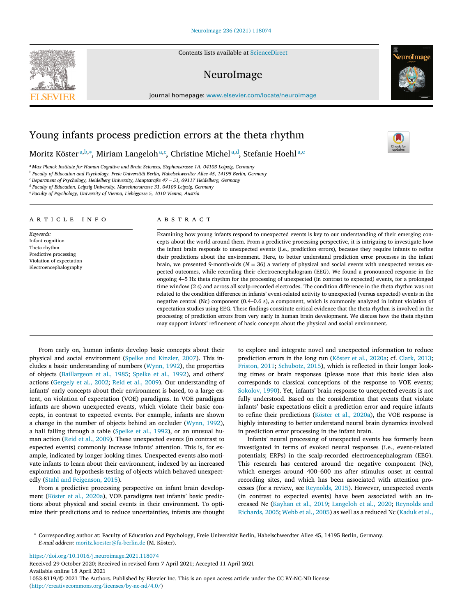Contents lists available at [ScienceDirect](http://www.ScienceDirect.com)

# NeuroImage

journal homepage: [www.elsevier.com/locate/neuroimage](http://www.elsevier.com/locate/neuroimage)

# Young infants process prediction errors at the theta rhythm

Moritz Köster<sup>a,b,</sup>\*, Miriam Langeloh<sup>a,c</sup>, Christine Michel<sup>a,d</sup>, Stefanie Hoehl<sup>a,e</sup>

<sup>a</sup> *Max Planck Institute for Human Cognitive and Brain Sciences, Stephanstrasse 1A, 04103 Leipzig, Germany*

<sup>b</sup> *Faculty of Education and Psychology, Freie Universität Berlin, Habelschwerdter Allee 45, 14195 Berlin, Germany*

<sup>c</sup> *Department of Psychology, Heidelberg University, Hauptstraße 47 – 51, 69117 Heidelberg, Germany*

<sup>d</sup> *Faculty of Education, Leipzig University, Marschnerstrasse 31, 04109 Leipzig, Germany*

<sup>e</sup> *Faculty of Psychology, University of Vienna, Liebiggasse 5, 1010 Vienna, Austria*

### a r t i c l e i n f o

*Keywords:* Infant cognition Theta rhythm Predictive processing Violation of expectation Electroencephalography

## a b s t r a c t

Examining how young infants respond to unexpected events is key to our understanding of their emerging concepts about the world around them. From a predictive processing perspective, it is intriguing to investigate how the infant brain responds to unexpected events (i.e., prediction errors), because they require infants to refine their predictions about the environment. Here, to better understand prediction error processes in the infant brain, we presented 9-month-olds (*N* = 36) a variety of physical and social events with unexpected versus expected outcomes, while recording their electroencephalogram (EEG). We found a pronounced response in the ongoing 4–5 Hz theta rhythm for the processing of unexpected (in contrast to expected) events, for a prolonged time window (2 s) and across all scalp-recorded electrodes. The condition difference in the theta rhythm was not related to the condition difference in infants' event-related activity to unexpected (versus expected) events in the negative central (Nc) component (0.4–0.6 s), a component, which is commonly analyzed in infant violation of expectation studies using EEG. These findings constitute critical evidence that the theta rhythm is involved in the processing of prediction errors from very early in human brain development. We discuss how the theta rhythm may support infants' refinement of basic concepts about the physical and social environment.

From early on, human infants develop basic concepts about their physical and social environment (Spelke and [Kinzler,](#page-5-0) 2007). This includes a basic understanding of numbers [\(Wynn,](#page-5-0) 1992), the properties of objects [\(Baillargeon](#page-4-0) et al., 1985; [Spelke](#page-5-0) et al., 1992), and others' actions [\(Gergely](#page-5-0) et al., 2002; Reid et al., [2009\)](#page-5-0). Our understanding of infants' early concepts about their environment is based, to a large extent, on violation of expectation (VOE) paradigms. In VOE paradigms infants are shown unexpected events, which violate their basic concepts, in contrast to expected events. For example, infants are shown a change in the number of objects behind an occluder [\(Wynn,](#page-5-0) 1992), a ball falling through a table [\(Spelke](#page-5-0) et al., 1992), or an unusual human action (Reid et al., [2009\)](#page-5-0). These unexpected events (in contrast to expected events) commonly increase infants' attention. This is, for example, indicated by longer looking times. Unexpected events also motivate infants to learn about their environment, indexed by an increased exploration and hypothesis testing of objects which behaved unexpectedly (Stahl and [Feigenson,](#page-5-0) 2015).

From a predictive processing perspective on infant brain development (Köster et al., [2020a\)](#page-5-0), VOE paradigms test infants' basic predictions about physical and social events in their environment. To optimize their predictions and to reduce uncertainties, infants are thought to explore and integrate novel and unexpected information to reduce prediction errors in the long run [\(Köster](#page-5-0) et al., 2020a; cf. [Clark,](#page-4-0) 2013; [Friston,](#page-4-0) 2011; [Schubotz,](#page-5-0) 2015), which is reflected in their longer looking times or brain responses (please note that this basic idea also corresponds to classical conceptions of the response to VOE events; [Sokolov,](#page-5-0) 1990). Yet, infants' brain response to unexpected events is not fully understood. Based on the consideration that events that violate infants' basic expectations elicit a prediction error and require infants to refine their predictions [\(Köster](#page-5-0) et al., 2020a), the VOE response is highly interesting to better understand neural brain dynamics involved in prediction error processing in the infant brain.

Infants' neural processing of unexpected events has formerly been investigated in terms of evoked neural responses (i.e., event-related potentials; ERPs) in the scalp-recorded electroencephalogram (EEG). This research has centered around the negative component (Nc), which emerges around 400–600 ms after stimulus onset at central recording sites, and which has been associated with attention processes (for a review, see [Reynolds,](#page-5-0) 2015). However, unexpected events (in contrast to expected events) have been associated with an increased Nc [\(Kayhan](#page-5-0) et al., 2019; [Langeloh](#page-5-0) et al., 2020; Reynolds and [Richards,](#page-5-0) 2005; [Webb](#page-5-0) et al., 2005) as well as a reduced Nc [\(Kaduk](#page-5-0) et al.,

<https://doi.org/10.1016/j.neuroimage.2021.118074>

Received 29 October 2020; Received in revised form 7 April 2021; Accepted 11 April 2021 Available online 18 April 2021 1053-8119/© 2021 The Authors. Published by Elsevier Inc. This is an open access article under the CC BY-NC-ND license [\(http://creativecommons.org/licenses/by-nc-nd/4.0/\)](http://creativecommons.org/licenses/by-nc-nd/4.0/)







<sup>∗</sup> Corresponding author at: Faculty of Education and Psychology, Freie Universität Berlin, Habelschwerdter Allee 45, 14195 Berlin, Germany. *E-mail address:* [moritz.koester@fu-berlin.de](mailto:moritz.koester@fu-berlin.de) (M. Köster).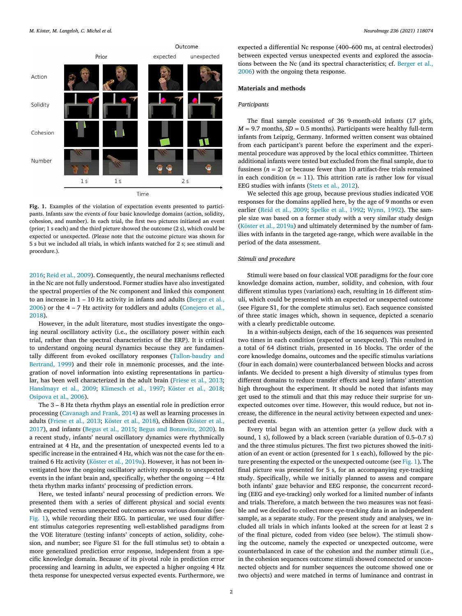

**Fig. 1.** Examples of the violation of expectation events presented to participants. Infants saw the events of four basic knowledge domains (action, solidity, cohesion, and number). In each trial, the first two pictures initiated an event (prior; 1 s each) and the third picture showed the outcome (2 s), which could be expected or unexpected. (Please note that the outcome picture was shown for 5 s but we included all trials, in which infants watched for 2 s; see stimuli and procedure.).

[2016;](#page-5-0) Reid et al., [2009\)](#page-5-0). Consequently, the neural mechanisms reflected in the Nc are not fully understood. Former studies have also investigated the spectral properties of the Nc component and linked this component to an increase in  $1 - 10$  Hz activity in infants and adults (Berger et al., 2006) or the 4 – 7 Hz activity for toddlers and adults [\(Conejero](#page-4-0) et al., 2018).

However, in the adult literature, most studies investigate the ongoing neural oscillatory activity (i.e., the oscillatory power within each trial, rather than the spectral characteristics of the ERP). It is critical to understand ongoing neural dynamics because they are fundamentally different from evoked oscillatory responses [\(Tallon-baudry](#page-5-0) and Bertrand, 1999) and their role in mnemonic processes, and the integration of novel information into existing representations in particular, has been well characterized in the adult brain [\(Friese](#page-4-0) et al., 2013; [Hanslmayr](#page-5-0) et al., 2009; [Klimesch](#page-5-0) et al., 1997; [Köster](#page-5-0) et al., 2018; [Osipova](#page-5-0) et al., 2006).

The 3 – 8 Hz theta rhythm plays an essential role in prediction error processing [\(Cavanagh](#page-4-0) and Frank, 2014) as well as learning processes in adults [\(Friese](#page-4-0) et al., 2013; [Köster](#page-5-0) et al., 2018), children (Köster et al., 2017), and infants [\(Begus](#page-4-0) et al., 2015; Begus and [Bonawitz,](#page-5-0) 2020). In a recent study, infants' neural oscillatory dynamics were rhythmically entrained at 4 Hz, and the presentation of unexpected events led to a specific increase in the entrained 4 Hz, which was not the case for the entrained 6 Hz activity [\(Köster](#page-5-0) et al., 2019a). However, it has not been investigated how the ongoing oscillatory activity responds to unexpected events in the infant brain and, specifically, whether the ongoing  $\sim$  4 Hz theta rhythm marks infants' processing of prediction errors.

Here, we tested infants' neural processing of prediction errors. We presented them with a series of different physical and social events with expected versus unexpected outcomes across various domains (see Fig. 1), while recording their EEG. In particular, we used four different stimulus categories representing well-established paradigms from the VOE literature (testing infants' concepts of action, solidity, cohesion, and number; see Figure S1 for the full stimulus set) to obtain a more generalized prediction error response, independent from a specific knowledge domain. Because of its pivotal role in prediction error processing and learning in adults, we expected a higher ongoing 4 Hz theta response for unexpected versus expected events. Furthermore, we expected a differential Nc response (400–600 ms, at central electrodes) between expected versus unexpected events and explored the associations between the Nc (and its spectral [characteristics;](#page-4-0) cf. Berger et al., 2006) with the ongoing theta response.

## **Materials and methods**

## *Participants*

The final sample consisted of 36 9-month-old infants (17 girls,  $M = 9.7$  months,  $SD = 0.5$  months). Participants were healthy full-term infants from Leipzig, Germany. Informed written consent was obtained from each participant's parent before the experiment and the experimental procedure was approved by the local ethics committee. Thirteen additional infants were tested but excluded from the final sample, due to fussiness  $(n = 2)$  or because fewer than 10 artifact-free trials remained in each condition  $(n = 11)$ . This attrition rate is rather low for visual EEG studies with infants (Stets et al., [2012\)](#page-5-0).

We selected this age group, because previous studies indicated VOE responses for the domains applied here, by the age of 9 months or even earlier (Reid et al., [2009;](#page-5-0) [Spelke](#page-5-0) et al., 1992; [Wynn,](#page-5-0) 1992). The sample size was based on a former study with a very similar study design [\(Köster](#page-5-0) et al., 2019a) and ultimately determined by the number of families with infants in the targeted age-range, which were available in the period of the data assessment.

# *Stimuli and procedure*

Stimuli were based on four classical VOE paradigms for the four core knowledge domains action, number, solidity, and cohesion, with four different stimulus types (variations) each, resulting in 16 different stimuli, which could be presented with an expected or unexpected outcome (see Figure S1, for the complete stimulus set). Each sequence consisted of three static images which, shown in sequence, depicted a scenario with a clearly predictable outcome.

In a within-subjects design, each of the 16 sequences was presented two times in each condition (expected or unexpected). This resulted in a total of 64 distinct trials, presented in 16 blocks. The order of the core knowledge domains, outcomes and the specific stimulus variations (four in each domain) were counterbalanced between blocks and across infants. We decided to present a high diversity of stimulus types from different domains to reduce transfer effects and keep infants' attention high throughout the experiment. It should be noted that infants may get used to the stimuli and that this may reduce their surprise for unexpected outcomes over time. However, this would reduce, but not increase, the difference in the neural activity between expected and unexpected events.

Every trial began with an attention getter (a yellow duck with a sound, 1 s), followed by a black screen (variable duration of 0.5–0.7 s) and the three stimulus pictures. The first two pictures showed the initiation of an event or action (presented for 1 s each), followed by the picture presenting the expected or the unexpected outcome (see Fig. 1). The final picture was presented for 5 s, for an accompanying eye-tracking study. Specifically, while we initially planned to assess and compare both infants' gaze behavior and EEG response, the concurrent recording (EEG and eye-tracking) only worked for a limited number of infants and trials. Therefore, a match between the two measures was not feasible and we decided to collect more eye-tracking data in an independent sample, as a separate study. For the present study and analyses, we included all trials in which infants looked at the screen for at least 2 s of the final picture, coded from video (see below). The stimuli showing the outcome, namely the expected or unexpected outcome, were counterbalanced in case of the cohesion and the number stimuli (i.e., in the cohesion sequences outcome stimuli showed connected or unconnected objects and for number sequences the outcome showed one or two objects) and were matched in terms of luminance and contrast in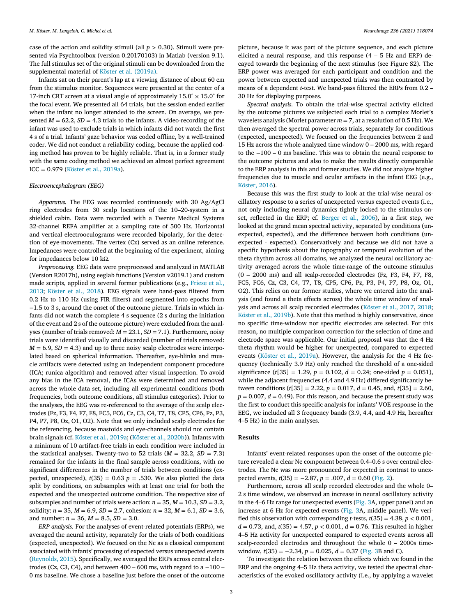case of the action and solidity stimuli (all *p >* 0.30). Stimuli were presented via Psychtoolbox (version 0.20170103) in Matlab (version 9.1). The full stimulus set of the original stimuli can be downloaded from the supplemental material of Köster et al. [\(2019a\).](#page-5-0)

Infants sat on their parent's lap at a viewing distance of about 60 cm from the stimulus monitor. Sequences were presented at the center of a 17-inch CRT screen at a visual angle of approximately  $15.0^{\circ} \times 15.0^{\circ}$  for the focal event. We presented all 64 trials, but the session ended earlier when the infant no longer attended to the screen. On average, we presented  $M = 62.2$ ,  $SD = 4.3$  trials to the infants. A video-recording of the infant was used to exclude trials in which infants did not watch the first 4 s of a trial. Infants' gaze behavior was coded offline, by a well-trained coder. We did not conduct a reliability coding, because the applied coding method has proven to be highly reliable. That is, in a former study with the same coding method we achieved an almost perfect agreement ICC = 0.979 [\(Köster](#page-5-0) et al., 2019a).

#### *Electroencephalogram (EEG)*

*Apparatus.* The EEG was recorded continuously with 30 Ag/AgCl ring electrodes from 30 scalp locations of the 10–20-system in a shielded cabin. Data were recorded with a Twente Medical Systems 32-channel REFA amplifier at a sampling rate of 500 Hz. Horizontal and vertical electrooculograms were recorded bipolarly, for the detection of eye-movements. The vertex (Cz) served as an online reference. Impedances were controlled at the beginning of the experiment, aiming for impedances below 10 kΩ.

*Preprocessing.* EEG data were preprocessed and analyzed in MATLAB (Version R2017b), using eeglab functions (Version v2019.1) and custom made scripts, applied in several former [publications](#page-4-0) (e.g., Friese et al., 2013; [Köster](#page-5-0) et al., 2018). EEG signals were band-pass filtered from 0.2 Hz to 110 Hz (using FIR filters) and segmented into epochs from −1.5 to 3 s, around the onset of the outcome picture. Trials in which infants did not watch the complete 4 s sequence (2 s during the initiation of the event and 2 s of the outcome picture) were excluded from the analyses (number of trials removed: *M* = 23.1, *SD* = 7.1). Furthermore, noisy trials were identified visually and discarded (number of trials removed:  $M = 6.9$ ,  $SD = 4.3$ ) and up to three noisy scalp electrodes were interpolated based on spherical information. Thereafter, eye-blinks and muscle artifacts were detected using an independent component procedure (ICA; runica algorithm) and removed after visual inspection. To avoid any bias in the ICA removal, the ICAs were determined and removed across the whole data set, including all experimental conditions (both frequencies, both outcome conditions, all stimulus categories). Prior to the analyses, the EEG was re-referenced to the average of the scalp electrodes (Fz, F3, F4, F7, F8, FC5, FC6, Cz, C3, C4, T7, T8, CP5, CP6, Pz, P3, P4, P7, P8, Oz, O1, O2). Note that we only included scalp electrodes for the referencing, because mastoids and eye-channels should not contain brain signals (cf. Köster et al., [2019a;](#page-5-0) (Köster et al., [2020b\)](#page-5-0)). Infants with a minimum of 10 artifact-free trials in each condition were included in the statistical analyses. Twenty-two to 52 trials  $(M = 32.2, SD = 7.3)$ remained for the infants in the final sample across conditions, with no significant differences in the number of trials between conditions (expected, unexpected),  $t(35) = 0.63$   $p = .530$ . We also plotted the data split by conditions, on subsamples with at least one trial for both the expected and the unexpected outcome condition. The respective size of subsamples and number of trials were action:  $n = 35$ ,  $M = 10.3$ ,  $SD = 3.2$ , solidity:  $n = 35$ ,  $M = 6.9$ ,  $SD = 2.7$ , cohesion:  $n = 32$ ,  $M = 6.1$ ,  $SD = 3.6$ , and number:  $n = 36$ ,  $M = 8.5$ ,  $SD = 3.0$ .

*ERP analysis.* For the analyses of event-related potentials (ERPs), we averaged the neural activity, separately for the trials of both conditions (expected, unexpected). We focused on the Nc as a classical component associated with infants' processing of expected versus unexpected events [\(Reynolds,](#page-5-0) 2015). Specifically, we averaged the ERPs across central electrodes (Cz, C3, C4), and between  $400 - 600$  ms, with regard to a  $-100 -$ 0 ms baseline. We chose a baseline just before the onset of the outcome picture, because it was part of the picture sequence, and each picture elicited a neural response, and this response  $(4 - 5$  Hz and ERP) decayed towards the beginning of the next stimulus (see Figure S2). The ERP power was averaged for each participant and condition and the power between expected and unexpected trials was then contrasted by means of a dependent *t*-test. We band-pass filtered the ERPs from 0.2 – 30 Hz for displaying purposes.

*Spectral analysis.* To obtain the trial-wise spectral activity elicited by the outcome pictures we subjected each trial to a complex Morlet's wavelets analysis (Morlet parameter *m* = 7, at a resolution of 0.5 Hz). We then averaged the spectral power across trials, separately for conditions (expected, unexpected). We focused on the frequencies between 2 and 15 Hz across the whole analyzed time window 0 – 2000 ms, with regard to the −100 – 0 ms baseline. This was to obtain the neural response to the outcome pictures and also to make the results directly comparable to the ERP analysis in this and former studies. We did not analyze higher frequencies due to muscle and ocular artifacts in the infant EEG (e.g., [Köster,](#page-5-0) 2016).

Because this was the first study to look at the trial-wise neural oscillatory response to a series of unexpected versus expected events (i.e., not only including neural dynamics tightly locked to the stimulus onset, reflected in the ERP; cf. [Berger](#page-4-0) et al., 2006), in a first step, we looked at the grand mean spectral activity, separated by conditions (unexpected, expected), and the difference between both conditions (unexpected - expected). Conservatively and because we did not have a specific hypothesis about the topography or temporal evolution of the theta rhythm across all domains, we analyzed the neural oscillatory activity averaged across the whole time-range of the outcome stimulus (0 – 2000 ms) and all scalp-recorded electrodes (Fz, F3, F4, F7, F8, FC5, FC6, Cz, C3, C4, T7, T8, CP5, CP6, Pz, P3, P4, P7, P8, Oz, O1, O2). This relies on our former studies, where we entered into the analysis (and found a theta effects across) the whole time window of analysis and across all scalp recorded electrodes [\(Köster](#page-5-0) et al., 2017, [2018;](#page-5-0) Köster et al., [2019b\)](#page-5-0). Note that this method is highly conservative, since no specific time-window nor specific electrodes are selected. For this reason, no multiple comparison correction for the selection of time and electrode space was applicable. Our initial proposal was that the 4 Hz theta rhythm would be higher for unexpected, compared to expected events (Köster et al., [2019a\)](#page-5-0). However, the analysis for the 4 Hz frequency (technically 3.9 Hz) only reached the threshold of a one-sided significance ( $t[35] = 1.29$ ,  $p = 0.102$ ,  $d = 0.24$ ; one-sided  $p = 0.051$ ), while the adjacent frequencies (4.4 and 4.9 Hz) differed significantly between conditions  $(t[35] = 2.22, p = 0.017, d = 0.45, and t[35] = 2.60,$  $p = 0.007$ ,  $d = 0.49$ ). For this reason, and because the present study was the first to conduct this specific analysis for infants' VOE response in the EEG, we included all 3 frequency bands (3.9, 4.4, and 4.9 Hz, hereafter 4–5 Hz) in the main analyses.

## **Results**

Infants' event-related responses upon the onset of the outcome picture revealed a clear Nc component between 0.4–0.6 s over central electrodes. The Nc was more pronounced for expected in contrast to unexpected events,  $t(35) = -2.87$ ,  $p = .007$ ,  $d = 0.60$  [\(Fig.](#page-3-0) 2).

Furthermore, across all scalp recorded electrodes and the whole 0– 2 s time window, we observed an increase in neural oscillatory activity in the 4–6 Hz range for unexpected events [\(Fig.](#page-3-0) 3A, upper panel) and an increase at 6 Hz for expected events [\(Fig.](#page-3-0) 3A, middle panel). We verified this observation with corresponding *t*-tests,  $t(35) = 4.38$ ,  $p < 0.001$ ,  $d = 0.73$ , and,  $t(35) = 4.57$ ,  $p < 0.001$ ,  $d = 0.76$ . This resulted in higher 4–5 Hz activity for unexpected compared to expected events across all scalp-recorded electrodes and throughout the whole 0 – 2000s timewindow, *t*(35) = −2.34, *p* = 0.025, *d* = 0.37 [\(Fig.](#page-3-0) 3B and C).

To investigate the relation between the effects which we found in the ERP and the ongoing 4–5 Hz theta activity, we tested the spectral characteristics of the evoked oscillatory activity (i.e., by applying a wavelet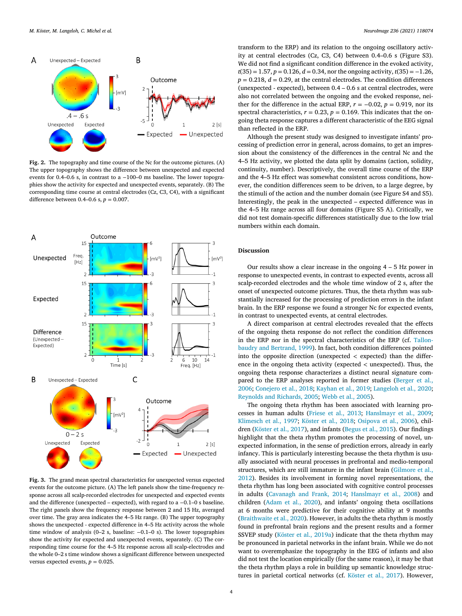<span id="page-3-0"></span>

**Fig. 2.** The topography and time course of the Nc for the outcome pictures. (A) The upper topography shows the difference between unexpected and expected events for 0.4–0.6 s, in contrast to a −100–0 ms baseline. The lower topographies show the activity for expected and unexpected events, separately. (B) The corresponding time course at central electrodes (Cz, C3, C4), with a significant difference between 0.4–0.6 s, *p* = 0.007.



**Fig. 3.** The grand mean spectral characteristics for unexpected versus expected events for the outcome picture. (A) The left panels show the time-frequency response across all scalp-recorded electrodes for unexpected and expected events and the difference (unexpected – expected), with regard to a −0.1–0 s baseline. The right panels show the frequency response between 2 and 15 Hz, averaged over time. The gray area indicates the 4–5 Hz range. (B) The upper topography shows the unexpected - expected difference in 4–5 Hz activity across the whole time window of analysis (0–2 s, baseline: −0.1–0 s). The lower topographies show the activity for expected and unexpected events, separately. (C) The corresponding time course for the 4–5 Hz response across all scalp-electrodes and the whole 0–2 s time window shows a significant difference between unexpected versus expected events,  $p = 0.025$ .

transform to the ERP) and its relation to the ongoing oscillatory activity at central electrodes (Cz, C3, C4) between 0.4–0.6 s (Figure S3). We did not find a significant condition difference in the evoked activity, *t*(35) = 1.57, *p* = 0.126, *d* = 0.34, nor the ongoing activity, *t*(35) = −1.26,  $p = 0.218$ ,  $d = 0.29$ , at the central electrodes. The condition differences (unexpected - expected), between 0.4 – 0.6 s at central electrodes, were also not correlated between the ongoing and the evoked response, neither for the difference in the actual ERP,  $r = -0.02$ ,  $p = 0.919$ , nor its spectral characteristics,  $r = 0.23$ ,  $p = 0.169$ . This indicates that the ongoing theta response captures a different characteristic of the EEG signal than reflected in the ERP.

Although the present study was designed to investigate infants' processing of prediction error in general, across domains, to get an impression about the consistency of the differences in the central Nc and the 4–5 Hz activity, we plotted the data split by domains (action, solidity, continuity, number). Descriptively, the overall time course of the ERP and the 4–5 Hz effect was somewhat consistent across conditions, however, the condition differences seem to be driven, to a large degree, by the stimuli of the action and the number domain (see Figure S4 and S5). Interestingly, the peak in the unexpected – expected difference was in the 4–5 Hz range across all four domains (Figure S5 A). Critically, we did not test domain-specific differences statistically due to the low trial numbers within each domain.

# **Discussion**

Our results show a clear increase in the ongoing 4 – 5 Hz power in response to unexpected events, in contrast to expected events, across all scalp-recorded electrodes and the whole time window of 2 s, after the onset of unexpected outcome pictures. Thus, the theta rhythm was substantially increased for the processing of prediction errors in the infant brain. In the ERP response we found a stronger Nc for expected events, in contrast to unexpected events, at central electrodes.

A direct comparison at central electrodes revealed that the effects of the ongoing theta response do not reflect the condition differences in the ERP nor in the spectral [characteristics](#page-5-0) of the ERP (cf. Tallonbaudry and Bertrand, 1999). In fact, both condition differences pointed into the opposite direction (unexpected *<* expected) than the difference in the ongoing theta activity (expected *<* unexpected). Thus, the ongoing theta response characterizes a distinct neural signature compared to the ERP analyses reported in former studies (Berger et al., 2006; [Conejero](#page-4-0) et al., 2018; [Kayhan](#page-5-0) et al., 2019; [Langeloh](#page-4-0) et al., 2020; Reynolds and [Richards,](#page-5-0) 2005; [Webb](#page-5-0) et al., 2005).

The ongoing theta rhythm has been associated with learning processes in human adults [\(Friese](#page-4-0) et al., 2013; [Hanslmayr](#page-5-0) et al., 2009; [Klimesch](#page-5-0) et al., 1997; [Köster](#page-5-0) et al., 2018; [Osipova](#page-5-0) et al., 2006), children [\(Köster](#page-5-0) et al., 2017), and infants [\(Begus](#page-4-0) et al., 2015). Our findings highlight that the theta rhythm promotes the processing of novel, unexpected information, in the sense of prediction errors, already in early infancy. This is particularly interesting because the theta rhythm is usually associated with neural processes in prefrontal and medio-temporal structures, which are still immature in the infant brain (Gilmore et al., 2012). Besides its involvement in forming novel [representations,](#page-5-0) the theta rhythm has long been associated with cognitive control processes in adults [\(Cavanagh](#page-4-0) and Frank, 2014; [Hanslmayr](#page-5-0) et al., 2008) and children [\(Adam](#page-4-0) et al., 2020), and infants' ongoing theta oscillations at 6 months were predictive for their cognitive ability at 9 months [\(Braithwaite](#page-4-0) et al., 2020). However, in adults the theta rhythm is mostly found in prefrontal brain regions and the present results and a former SSVEP study [\(Köster](#page-5-0) et al., 2019a) indicate that the theta rhythm may be pronounced in parietal networks in the infant brain. While we do not want to overemphasize the topography in the EEG of infants and also did not test the location empirically (for the same reason), it may be that the theta rhythm plays a role in building up semantic knowledge structures in parietal cortical networks (cf. [Köster](#page-5-0) et al., 2017). However,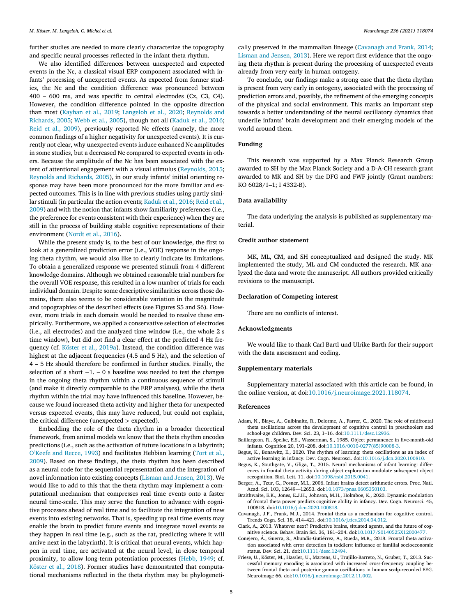<span id="page-4-0"></span>further studies are needed to more clearly characterize the topography and specific neural processes reflected in the infant theta rhythm.

We also identified differences between unexpected and expected events in the Nc, a classical visual ERP component associated with infants' processing of unexpected events. As expected from former studies, the Nc and the condition difference was pronounced between 400 – 600 ms, and was specific to central electrodes (Cz, C3, C4). However, the condition difference pointed in the opposite direction than most [\(Kayhan](#page-5-0) et al., 2019; [Langeloh](#page-5-0) et al., 2020; Reynolds and [Richards,](#page-5-0) 2005; [Webb](#page-5-0) et al., 2005), though not all [\(Kaduk](#page-5-0) et al., 2016; Reid et al., [2009\)](#page-5-0), previously reported Nc effects (namely, the more common findings of a higher negativity for unexpected events). It is currently not clear, why unexpected events induce enhanced Nc amplitudes in some studies, but a decreased Nc compared to expected events in others. Because the amplitude of the Nc has been associated with the extent of attentional engagement with a visual stimulus [\(Reynolds,](#page-5-0) 2015; Reynolds and [Richards,](#page-5-0) 2005), in our study infants' initial orienting response may have been more pronounced for the more familiar and expected outcomes. This is in line with previous studies using partly similar stimuli (in particular the action events; [Kaduk](#page-5-0) et al., 2016; Reid et al., 2009) and with the notion that infants show familiarity [preferences](#page-5-0) (i.e., the preference for events consistent with their experience) when they are still in the process of building stable cognitive representations of their environment [\(Nordt](#page-5-0) et al., 2016).

While the present study is, to the best of our knowledge, the first to look at a generalized prediction error (i.e., VOE) response in the ongoing theta rhythm, we would also like to clearly indicate its limitations. To obtain a generalized response we presented stimuli from 4 different knowledge domains. Although we obtained reasonable trial numbers for the overall VOE response, this resulted in a low number of trials for each individual domain. Despite some descriptive similarities across those domains, there also seems to be considerable variation in the magnitude and topographies of the described effects (see Figures S5 and S6). However, more trials in each domain would be needed to resolve these empirically. Furthermore, we applied a conservative selection of electrodes (i.e., all electrodes) and the analyzed time window (i.e., the whole 2 s time window), but did not find a clear effect at the predicted 4 Hz frequency (cf. Köster et al., [2019a\)](#page-5-0). Instead, the condition difference was highest at the adjacent frequencies (4.5 and 5 Hz), and the selection of 4 – 5 Hz should therefore be confirmed in further studies. Finally, the selection of a short −1. – 0 s baseline was needed to test the changes in the ongoing theta rhythm within a continuous sequence of stimuli (and make it directly comparable to the ERP analyses), while the theta rhythm within the trial may have influenced this baseline. However, because we found increased theta activity and higher theta for unexpected versus expected events, this may have reduced, but could not explain, the critical difference (unexpected *>* expected).

Embedding the role of the theta rhythm in a broader theoretical framework, from animal models we know that the theta rhythm encodes predictions (i.e., such as the activation of future locations in a labyrinth; [O'Keefe](#page-5-0) and Recce, 1993) and [facilitates](#page-5-0) Hebbian learning (Tort et al., 2009). Based on these findings, the theta rhythm has been described as a neural code for the sequential representation and the integration of novel information into existing concepts [\(Lisman](#page-5-0) and Jensen, 2013). We would like to add to this that the theta rhythm may implement a computational mechanism that compresses real time events onto a faster neural time-scale. This may serve the function to advance with cognitive processes ahead of real time and to facilitate the integration of new events into existing networks. That is, speeding up real time events may enable the brain to predict future events and integrate novel events as they happen in real time (e.g., such as the rat, predicting where it will arrive next in the labyrinth). It is critical that neural events, which happen in real time, are activated at the neural level, in close temporal proximity, to allow long-term potentiation processes [\(Hebb,](#page-5-0) 1949; cf. [Köster](#page-5-0) et al., 2018). Former studies have demonstrated that computational mechanisms reflected in the theta rhythm may be phylogenetically preserved in the mammalian lineage (Cavanagh and Frank, 2014; Lisman and [Jensen,](#page-5-0) 2013). Here we report first evidence that the ongoing theta rhythm is present during the processing of unexpected events already from very early in human ontogeny.

To conclude, our findings make a strong case that the theta rhythm is present from very early in ontogeny, associated with the processing of prediction errors and, possibly, the refinement of the emerging concepts of the physical and social environment. This marks an important step towards a better understanding of the neural oscillatory dynamics that underlie infants' brain development and their emerging models of the world around them.

# **Funding**

This research was supported by a Max Planck Research Group awarded to SH by the Max Planck Society and a D-A-CH research grant awarded to MK and SH by the DFG and FWF jointly (Grant numbers: KO 6028/1–1; I 4332-B).

#### **Data availability**

The data underlying the analysis is published as supplementary material.

## **Credit author statement**

MK, ML, CM, and SH conceptualized and designed the study. MK implemented the study, ML and CM conducted the research. MK analyzed the data and wrote the manuscript. All authors provided critically revisions to the manuscript.

#### **Declaration of Competing interest**

There are no conflicts of interest.

## **Acknowledgments**

We would like to thank Carl Bartl und Ulrike Barth for their support with the data assessment and coding.

#### **Supplementary materials**

Supplementary material associated with this article can be found, in the online version, at doi[:10.1016/j.neuroimage.2021.118074.](https://doi.org/10.1016/j.neuroimage.2021.118074)

#### **References**

- Adam, N., Blaye, A., Gulbinaite, R., Delorme, A., Farrer, C., 2020. The role of midfrontal theta oscillations across the development of cognitive control in preschoolers and school-age children. Dev. Sci. 23, 1–16. doi[:10.1111/desc.12936.](https://doi.org/10.1111/desc.12936)
- Baillargeon, R., Spelke, E.S., Wasserman, S., 1985. Object permanence in five-month-old infants. Cognition 20, 191–208. doi[:10.1016/0010-0277\(85\)90008-3.](https://doi.org/10.1016/0010-0277(85)90008-3)
- Begus, K., Bonawitz, E., 2020. The rhythm of learning: theta oscillations as an index of active learning in infancy. Dev. Cogn. Neurosci. doi[:10.1016/j.dcn.2020.100810.](https://doi.org/10.1016/j.dcn.2020.100810)
- Begus, K., Southgate, V., Gliga, T., 2015. Neural mechanisms of infant learning: differences in frontal theta activity during object exploration modulate subsequent object recognition. Biol. Lett. 11. doi[:10.1098/rsbl.2015.0041.](https://doi.org/10.1098/rsbl.2015.0041)
- Berger, A., Tzur, G., Posner, M.I., 2006. Infant brains detect arithmetic errors. Proc. Natl. Acad. Sci. 103, 12649––12653. doi[:10.1073/pnas.0605350103.](https://doi.org/10.1073/pnas.0605350103)
- Braithwaite, E.K., Jones, E.J.H., Johnson, M.H., Holmboe, K., 2020. Dynamic modulation of frontal theta power predicts cognitive ability in infancy. Dev. Cogn. Neurosci. 45, 100818. doi[:10.1016/j.dcn.2020.100818.](https://doi.org/10.1016/j.dcn.2020.100818)
- Cavanagh, J.F., Frank, M.J., 2014. Frontal theta as a mechanism for cognitive control. Trends Cogn. Sci. 18, 414–421. doi[:10.1016/j.tics.2014.04.012.](https://doi.org/10.1016/j.tics.2014.04.012)
- Clark, A., 2013. Whatever next? Predictive brains, situated agents, and the future of cognitive science. Behav. Brain Sci. 36, 181–204. doi[:10.1017/S0140525X12000477.](https://doi.org/10.1017/S0140525X12000477)
- Conejero, Á., Guerra, S., Abundis-Gutiérrez, A., Rueda, M.R., 2018. Frontal theta activation associated with error detection in toddlers: influence of familial socioeconomic status. Dev. Sci. 21. doi[:10.1111/desc.12494.](https://doi.org/10.1111/desc.12494)
- Friese, U., Köster, M., Hassler, U., Martens, U., Trujillo-Barreto, N., Gruber, T., 2013. Successful memory encoding is associated with increased cross-frequency coupling between frontal theta and posterior gamma oscillations in human scalp-recorded EEG. Neuroimage 66. doi[:10.1016/j.neuroimage.2012.11.002.](https://doi.org/10.1016/j.neuroimage.2012.11.002)